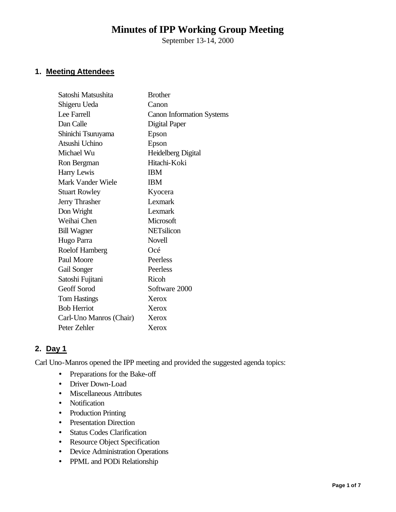# **Minutes of IPP Working Group Meeting**

September 13-14, 2000

## **1. Meeting Attendees**

| Satoshi Matsushita      | <b>Brother</b>                   |
|-------------------------|----------------------------------|
| Shigeru Ueda            | Canon                            |
| Lee Farrell             | <b>Canon Information Systems</b> |
| Dan Calle               | Digital Paper                    |
| Shinichi Tsuruyama      | Epson                            |
| Atsushi Uchino          | Epson                            |
| Michael Wu              | Heidelberg Digital               |
| Ron Bergman             | Hitachi-Koki                     |
| Harry Lewis             | <b>IBM</b>                       |
| Mark Vander Wiele       | <b>IBM</b>                       |
| <b>Stuart Rowley</b>    | Kyocera                          |
| <b>Jerry Thrasher</b>   | Lexmark                          |
| Don Wright              | Lexmark                          |
| Weihai Chen             | Microsoft                        |
| <b>Bill Wagner</b>      | <b>NETsilicon</b>                |
| Hugo Parra              | Novell                           |
| Roelof Hamberg          | Océ                              |
| Paul Moore              | Peerless                         |
| Gail Songer             | Peerless                         |
| Satoshi Fujitani        | Ricoh                            |
| Geoff Sorod             | Software 2000                    |
| <b>Tom Hastings</b>     | Xerox                            |
| <b>Bob Herriot</b>      | Xerox                            |
| Carl-Uno Manros (Chair) | Xerox                            |
| Peter Zehler            | Xerox                            |
|                         |                                  |

# **2. Day 1**

Carl Uno-Manros opened the IPP meeting and provided the suggested agenda topics:

- Preparations for the Bake-off
- Driver Down-Load
- Miscellaneous Attributes
- Notification
- Production Printing
- Presentation Direction
- Status Codes Clarification
- Resource Object Specification
- Device Administration Operations
- PPML and PODi Relationship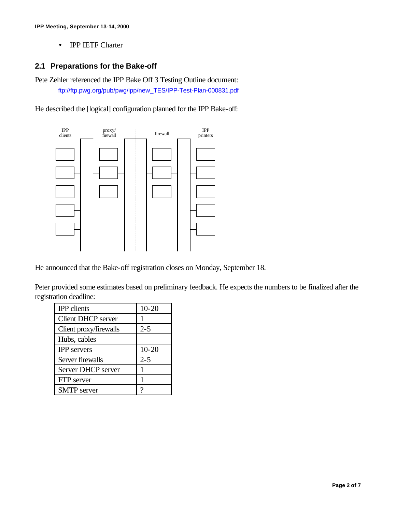• IPP IETF Charter

## **2.1 Preparations for the Bake-off**

Pete Zehler referenced the IPP Bake Off 3 Testing Outline document: ftp://ftp.pwg.org/pub/pwg/ipp/new\_TES/IPP-Test-Plan-000831.pdf

He described the [logical] configuration planned for the IPP Bake-off:



He announced that the Bake-off registration closes on Monday, September 18.

Peter provided some estimates based on preliminary feedback. He expects the numbers to be finalized after the registration deadline:

| <b>IPP</b> clients        | $10 - 20$ |
|---------------------------|-----------|
| <b>Client DHCP</b> server | 1         |
| Client proxy/firewalls    | $2 - 5$   |
| Hubs, cables              |           |
| <b>IPP</b> servers        | $10 - 20$ |
| Server firewalls          | $2 - 5$   |
| Server DHCP server        | 1         |
| FTP server                | 1         |
| <b>SMTP</b> server        | ว         |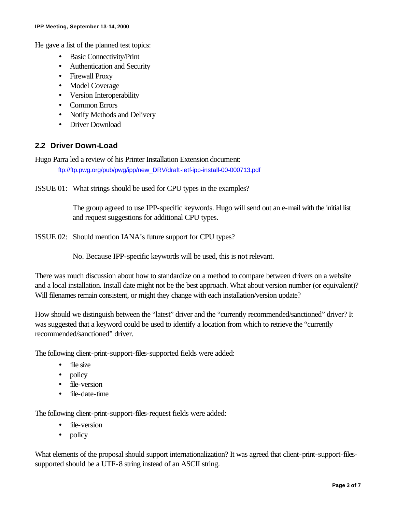He gave a list of the planned test topics:

- Basic Connectivity/Print
- Authentication and Security
- Firewall Proxy
- Model Coverage
- Version Interoperability
- Common Errors
- Notify Methods and Delivery
- Driver Download

### **2.2 Driver Down-Load**

Hugo Parra led a review of his Printer Installation Extension document: ftp://ftp.pwg.org/pub/pwg/ipp/new\_DRV/draft-ietf-ipp-install-00-000713.pdf

ISSUE 01: What strings should be used for CPU types in the examples?

The group agreed to use IPP-specific keywords. Hugo will send out an e-mail with the initial list and request suggestions for additional CPU types.

ISSUE 02: Should mention IANA's future support for CPU types?

No. Because IPP-specific keywords will be used, this is not relevant.

There was much discussion about how to standardize on a method to compare between drivers on a website and a local installation. Install date might not be the best approach. What about version number (or equivalent)? Will filenames remain consistent, or might they change with each installation/version update?

How should we distinguish between the "latest" driver and the "currently recommended/sanctioned" driver? It was suggested that a keyword could be used to identify a location from which to retrieve the "currently recommended/sanctioned" driver.

The following client-print-support-files-supported fields were added:

- file size
- policy
- file-version
- file-date-time

The following client-print-support-files-request fields were added:

- file-version
- policy

What elements of the proposal should support internationalization? It was agreed that client-print-support-filessupported should be a UTF-8 string instead of an ASCII string.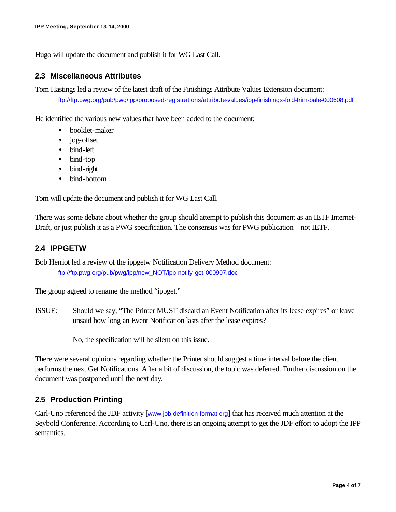Hugo will update the document and publish it for WG Last Call.

#### **2.3 Miscellaneous Attributes**

Tom Hastings led a review of the latest draft of the Finishings Attribute Values Extension document: ftp://ftp.pwg.org/pub/pwg/ipp/proposed-registrations/attribute-values/ipp-finishings-fold-trim-bale-000608.pdf

He identified the various new values that have been added to the document:

- booklet-maker
- jog-offset
- bind-left
- bind-top
- bind-right
- bind-bottom

Tom will update the document and publish it for WG Last Call.

There was some debate about whether the group should attempt to publish this document as an IETF Internet-Draft, or just publish it as a PWG specification. The consensus was for PWG publication—not IETF.

#### **2.4 IPPGETW**

Bob Herriot led a review of the ippgetw Notification Delivery Method document: ftp://ftp.pwg.org/pub/pwg/ipp/new\_NOT/ipp-notify-get-000907.doc

The group agreed to rename the method "ippget."

ISSUE: Should we say, "The Printer MUST discard an Event Notification after its lease expires" or leave unsaid how long an Event Notification lasts after the lease expires?

No, the specification will be silent on this issue.

There were several opinions regarding whether the Printer should suggest a time interval before the client performs the next Get Notifications. After a bit of discussion, the topic was deferred. Further discussion on the document was postponed until the next day.

#### **2.5 Production Printing**

Carl-Uno referenced the JDF activity [www.job-definition-format.org] that has received much attention at the Seybold Conference. According to Carl-Uno, there is an ongoing attempt to get the JDF effort to adopt the IPP semantics.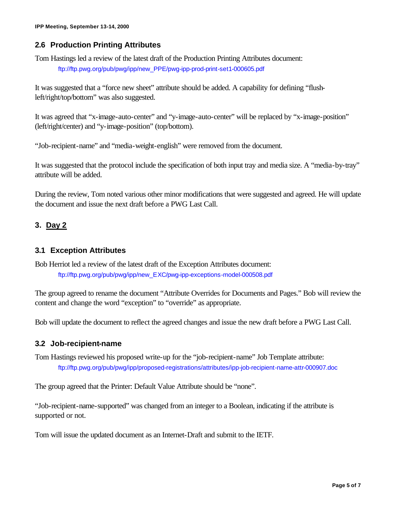# **2.6 Production Printing Attributes**

Tom Hastings led a review of the latest draft of the Production Printing Attributes document: ftp://ftp.pwg.org/pub/pwg/ipp/new\_PPE/pwg-ipp-prod-print-set1-000605.pdf

It was suggested that a "force new sheet" attribute should be added. A capability for defining "flushleft/right/top/bottom" was also suggested.

It was agreed that "x-image-auto-center" and "y-image-auto-center" will be replaced by "x-image-position" (left/right/center) and "y-image-position" (top/bottom).

"Job-recipient-name" and "media-weight-english" were removed from the document.

It was suggested that the protocol include the specification of both input tray and media size. A "media-by-tray" attribute will be added.

During the review, Tom noted various other minor modifications that were suggested and agreed. He will update the document and issue the next draft before a PWG Last Call.

# **3. Day 2**

# **3.1 Exception Attributes**

Bob Herriot led a review of the latest draft of the Exception Attributes document: ftp://ftp.pwg.org/pub/pwg/ipp/new\_EXC/pwg-ipp-exceptions-model-000508.pdf

The group agreed to rename the document "Attribute Overrides for Documents and Pages." Bob will review the content and change the word "exception" to "override" as appropriate.

Bob will update the document to reflect the agreed changes and issue the new draft before a PWG Last Call.

### **3.2 Job-recipient-name**

Tom Hastings reviewed his proposed write-up for the "job-recipient-name" Job Template attribute: ftp://ftp.pwg.org/pub/pwg/ipp/proposed-registrations/attributes/ipp-job-recipient-name-attr-000907.doc

The group agreed that the Printer: Default Value Attribute should be "none".

"Job-recipient-name-supported" was changed from an integer to a Boolean, indicating if the attribute is supported or not.

Tom will issue the updated document as an Internet-Draft and submit to the IETF.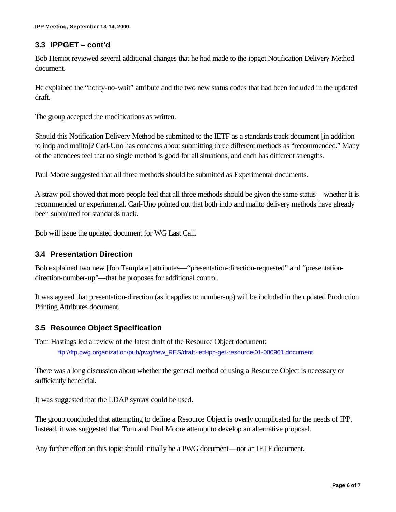### **3.3 IPPGET – cont'd**

Bob Herriot reviewed several additional changes that he had made to the ippget Notification Delivery Method document.

He explained the "notify-no-wait" attribute and the two new status codes that had been included in the updated draft.

The group accepted the modifications as written.

Should this Notification Delivery Method be submitted to the IETF as a standards track document [in addition to indp and mailto]? Carl-Uno has concerns about submitting three different methods as "recommended." Many of the attendees feel that no single method is good for all situations, and each has different strengths.

Paul Moore suggested that all three methods should be submitted as Experimental documents.

A straw poll showed that more people feel that all three methods should be given the same status—whether it is recommended or experimental. Carl-Uno pointed out that both indp and mailto delivery methods have already been submitted for standards track.

Bob will issue the updated document for WG Last Call.

#### **3.4 Presentation Direction**

Bob explained two new [Job Template] attributes—"presentation-direction-requested" and "presentationdirection-number-up"—that he proposes for additional control.

It was agreed that presentation-direction (as it applies to number-up) will be included in the updated Production Printing Attributes document.

### **3.5 Resource Object Specification**

Tom Hastings led a review of the latest draft of the Resource Object document: ftp://ftp.pwg.organization/pub/pwg/new\_RES/draft-ietf-ipp-get-resource-01-000901.document

There was a long discussion about whether the general method of using a Resource Object is necessary or sufficiently beneficial.

It was suggested that the LDAP syntax could be used.

The group concluded that attempting to define a Resource Object is overly complicated for the needs of IPP. Instead, it was suggested that Tom and Paul Moore attempt to develop an alternative proposal.

Any further effort on this topic should initially be a PWG document—not an IETF document.